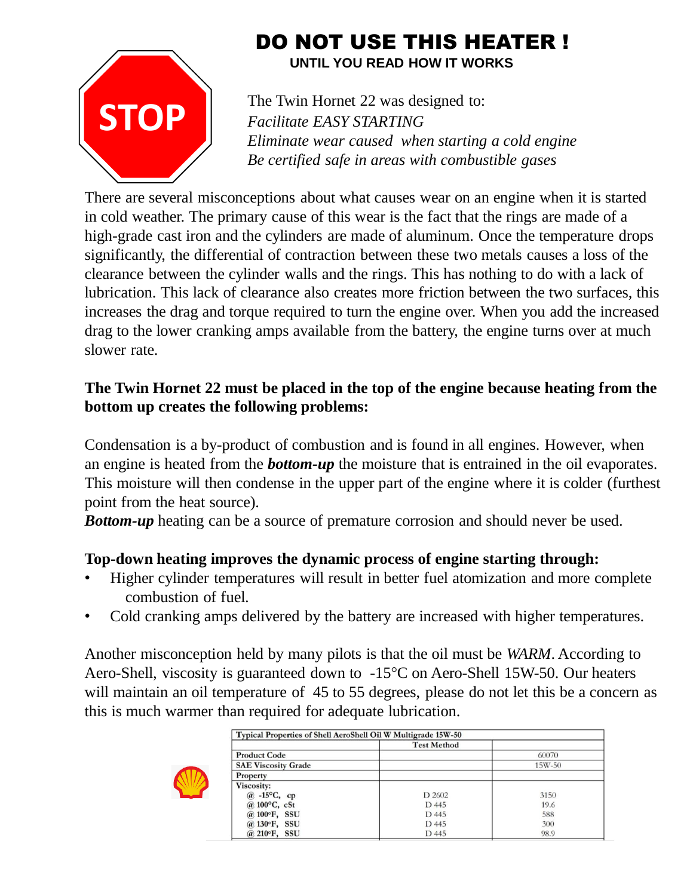

# DO NOT USE THIS HEATER !

**UNTIL YOU READ HOW IT WORKS**

The Twin Hornet 22 was designed to: *Facilitate EASY STARTING Eliminate wear caused when starting a cold engine Be certified safe in areas with combustible gases*

There are several misconceptions about what causes wear on an engine when it is started in cold weather. The primary cause of this wear is the fact that the rings are made of a high-grade cast iron and the cylinders are made of aluminum. Once the temperature drops significantly, the differential of contraction between these two metals causes a loss of the clearance between the cylinder walls and the rings. This has nothing to do with a lack of lubrication. This lack of clearance also creates more friction between the two surfaces, this increases the drag and torque required to turn the engine over. When you add the increased drag to the lower cranking amps available from the battery, the engine turns over at much slower rate.

## **The Twin Hornet 22 must be placed in the top of the engine because heating from the bottom up creates the following problems:**

Condensation is a by-product of combustion and is found in all engines. However, when an engine is heated from the *bottom-up* the moisture that is entrained in the oil evaporates. This moisture will then condense in the upper part of the engine where it is colder (furthest point from the heat source).

*Bottom-up* heating can be a source of premature corrosion and should never be used.

### **Top-down heating improves the dynamic process of engine starting through:**

- Higher cylinder temperatures will result in better fuel atomization and more complete combustion of fuel.
- Cold cranking amps delivered by the battery are increased with higher temperatures.

Another misconception held by many pilots is that the oil must be *WARM*. According to Aero-Shell, viscosity is guaranteed down to -15°C on Aero-Shell 15W-50. Our heaters will maintain an oil temperature of 45 to 55 degrees, please do not let this be a concern as this is much warmer than required for adequate lubrication.



| Typical Properties of Shell AeroShell Oil W Multigrade 15W-50 |                    |        |
|---------------------------------------------------------------|--------------------|--------|
|                                                               | <b>Test Method</b> |        |
| <b>Product Code</b>                                           |                    | 60070  |
| <b>SAE Viscosity Grade</b>                                    |                    | 15W-50 |
| Property                                                      |                    |        |
| Viscosity:                                                    |                    |        |
| $\omega$ -15 <sup>o</sup> C, cp                               | D 2602             | 3150   |
| $@.100\textdegree C, cSt$                                     | D 445              | 19.6   |
| @ 100°F, SSU                                                  | D 445              | 588    |
| @ 130°F, SSU                                                  | D 445              | 300    |
| @ 210°F, SSU                                                  | D 445              | 98.9   |